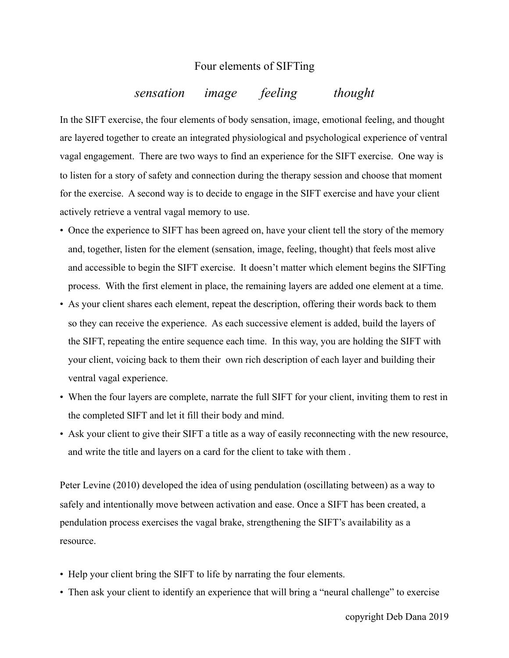## Four elements of SIFTing

## *sensation image feeling thought*

In the SIFT exercise, the four elements of body sensation, image, emotional feeling, and thought are layered together to create an integrated physiological and psychological experience of ventral vagal engagement. There are two ways to find an experience for the SIFT exercise. One way is to listen for a story of safety and connection during the therapy session and choose that moment for the exercise. A second way is to decide to engage in the SIFT exercise and have your client actively retrieve a ventral vagal memory to use.

- Once the experience to SIFT has been agreed on, have your client tell the story of the memory and, together, listen for the element (sensation, image, feeling, thought) that feels most alive and accessible to begin the SIFT exercise. It doesn't matter which element begins the SIFTing process. With the first element in place, the remaining layers are added one element at a time.
- As your client shares each element, repeat the description, offering their words back to them so they can receive the experience. As each successive element is added, build the layers of the SIFT, repeating the entire sequence each time. In this way, you are holding the SIFT with your client, voicing back to them their own rich description of each layer and building their ventral vagal experience.
- When the four layers are complete, narrate the full SIFT for your client, inviting them to rest in the completed SIFT and let it fill their body and mind.
- Ask your client to give their SIFT a title as a way of easily reconnecting with the new resource, and write the title and layers on a card for the client to take with them .

Peter Levine (2010) developed the idea of using pendulation (oscillating between) as a way to safely and intentionally move between activation and ease. Once a SIFT has been created, a pendulation process exercises the vagal brake, strengthening the SIFT's availability as a resource.

- Help your client bring the SIFT to life by narrating the four elements.
- Then ask your client to identify an experience that will bring a "neural challenge" to exercise